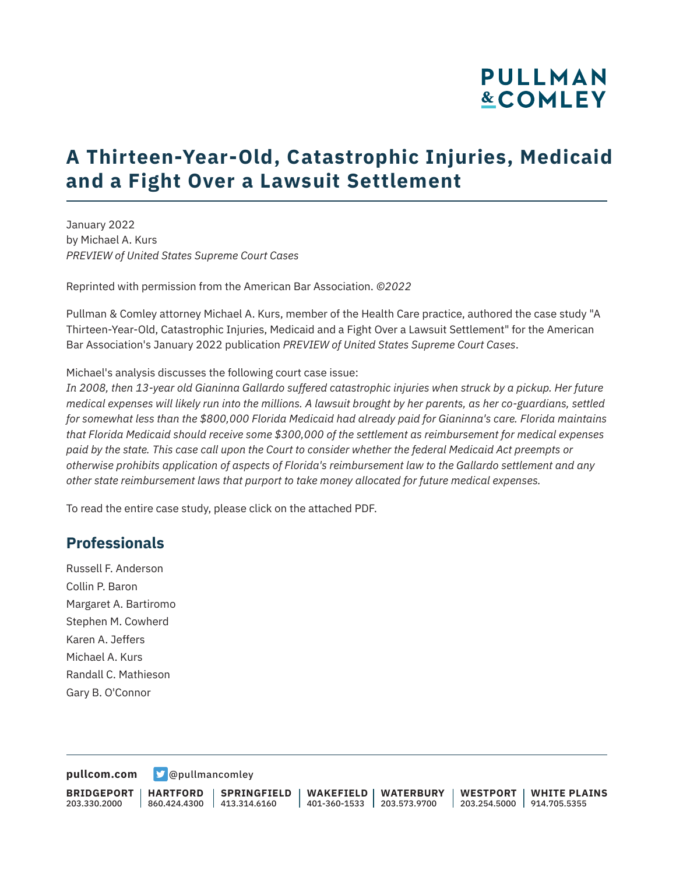# **PULLMAN &COMLEY**

## **A Thirteen-Year-Old, Catastrophic Injuries, Medicaid and a Fight Over a Lawsuit Settlement**

January 2022 by Michael A. Kurs *PREVIEW of United States Supreme Court Cases*

Reprinted with permission from the American Bar Association. *©2022*

Pullman & Comley attorney Michael A. Kurs, member of the Health Care practice, authored the case study "A Thirteen-Year-Old, Catastrophic Injuries, Medicaid and a Fight Over a Lawsuit Settlement" for the American Bar Association's January 2022 publication *PREVIEW of United States Supreme Court Cases*.

Michael's analysis discusses the following court case issue:

*In 2008, then 13-year old Gianinna Gallardo suffered catastrophic injuries when struck by a pickup. Her future medical expenses will likely run into the millions. A lawsuit brought by her parents, as her co-guardians, settled for somewhat less than the \$800,000 Florida Medicaid had already paid for Gianinna's care. Florida maintains that Florida Medicaid should receive some \$300,000 of the settlement as reimbursement for medical expenses paid by the state. This case call upon the Court to consider whether the federal Medicaid Act preempts or otherwise prohibits application of aspects of Florida's reimbursement law to the Gallardo settlement and any other state reimbursement laws that purport to take money allocated for future medical expenses.* 

To read the entire case study, please click on the attached PDF.

#### **Professionals**

Russell F. Anderson Collin P. Baron Margaret A. Bartiromo Stephen M. Cowherd Karen A. Jeffers Michael A. Kurs Randall C. Mathieson Gary B. O'Connor

**[pullcom.com](https://www.pullcom.com) g** [@pullmancomley](https://twitter.com/PullmanComley)

**BRIDGEPORT** 203.330.2000

**HARTFORD**

860.424.4300 413.314.6160 **SPRINGFIELD** **WAKEFIELD WATERBURY** 401-360-1533 203.573.9700

**WESTPORT WHITE PLAINS** 203.254.5000 914.705.5355